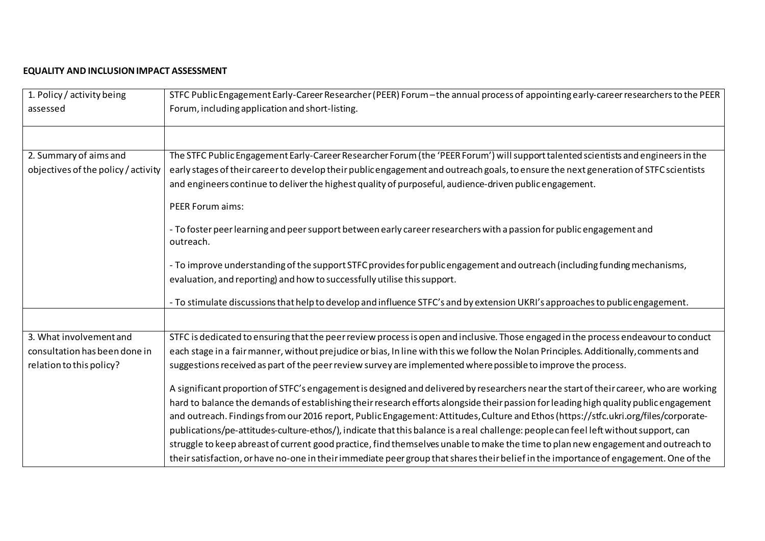## **EQUALITY AND INCLUSION IMPACT ASSESSMENT**

| 1. Policy / activity being          | STFC Public Engagement Early-Career Researcher (PEER) Forum - the annual process of appointing early-career researchers to the PEER    |  |  |  |  |
|-------------------------------------|----------------------------------------------------------------------------------------------------------------------------------------|--|--|--|--|
| assessed                            | Forum, including application and short-listing.                                                                                        |  |  |  |  |
|                                     |                                                                                                                                        |  |  |  |  |
| 2. Summary of aims and              | The STFC Public Engagement Early-Career Researcher Forum (the 'PEER Forum') will support talented scientists and engineers in the      |  |  |  |  |
| objectives of the policy / activity | early stages of their career to develop their public engagement and outreach goals, to ensure the next generation of STFC scientists   |  |  |  |  |
|                                     | and engineers continue to deliver the highest quality of purposeful, audience-driven public engagement.                                |  |  |  |  |
|                                     | <b>PEER Forum aims:</b>                                                                                                                |  |  |  |  |
|                                     | - To foster peer learning and peer support between early career researchers with a passion for public engagement and<br>outreach.      |  |  |  |  |
|                                     | - To improve understanding of the support STFC provides for public engagement and outreach (including funding mechanisms,              |  |  |  |  |
|                                     | evaluation, and reporting) and how to successfully utilise this support.                                                               |  |  |  |  |
|                                     | - To stimulate discussions that help to develop and influence STFC's and by extension UKRI's approaches to public engagement.          |  |  |  |  |
|                                     |                                                                                                                                        |  |  |  |  |
| 3. What involvement and             | STFC is dedicated to ensuring that the peer review process is open and inclusive. Those engaged in the process endeavour to conduct    |  |  |  |  |
| consultation has been done in       | each stage in a fair manner, without prejudice or bias, In line with this we follow the Nolan Principles. Additionally, comments and   |  |  |  |  |
| relation to this policy?            | suggestions received as part of the peer review survey are implemented where possible to improve the process.                          |  |  |  |  |
|                                     | A significant proportion of STFC's engagement is designed and delivered by researchers near the start of their career, who are working |  |  |  |  |
|                                     | hard to balance the demands of establishing their research efforts alongside their passion for leading high quality public engagement  |  |  |  |  |
|                                     | and outreach. Findings from our 2016 report, Public Engagement: Attitudes, Culture and Ethos (https://stfc.ukri.org/files/corporate-   |  |  |  |  |
|                                     | publications/pe-attitudes-culture-ethos/), indicate that this balance is a real challenge: people can feel left without support, can   |  |  |  |  |
|                                     | struggle to keep abreast of current good practice, find themselves unable to make the time to plan new engagement and outreach to      |  |  |  |  |
|                                     | their satisfaction, or have no-one in their immediate peer group that shares their belief in the importance of engagement. One of the  |  |  |  |  |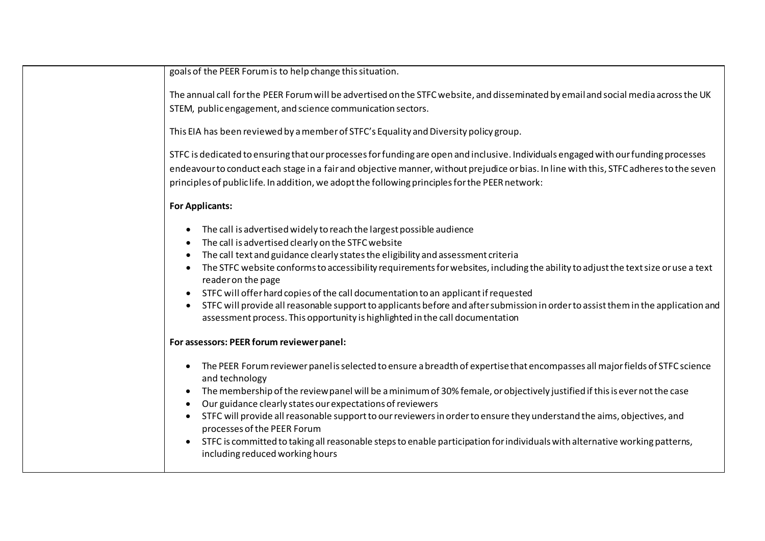| goals of the PEER Forum is to help change this situation.                                                                                                                                                                                                                                                                                                                                                                                                                                                                                                                                                                                                                                                                                                            |  |  |  |  |
|----------------------------------------------------------------------------------------------------------------------------------------------------------------------------------------------------------------------------------------------------------------------------------------------------------------------------------------------------------------------------------------------------------------------------------------------------------------------------------------------------------------------------------------------------------------------------------------------------------------------------------------------------------------------------------------------------------------------------------------------------------------------|--|--|--|--|
| The annual call for the PEER Forum will be advertised on the STFC website, and disseminated by email and social media across the UK<br>STEM, public engagement, and science communication sectors.                                                                                                                                                                                                                                                                                                                                                                                                                                                                                                                                                                   |  |  |  |  |
| This EIA has been reviewed by a member of STFC's Equality and Diversity policy group.                                                                                                                                                                                                                                                                                                                                                                                                                                                                                                                                                                                                                                                                                |  |  |  |  |
| STFC is dedicated to ensuring that our processes for funding are open and inclusive. Individuals engaged with our funding processes<br>endeavour to conduct each stage in a fair and objective manner, without prejudice or bias. In line with this, STFC adheres to the seven<br>principles of public life. In addition, we adopt the following principles for the PEER network:                                                                                                                                                                                                                                                                                                                                                                                    |  |  |  |  |
| <b>For Applicants:</b>                                                                                                                                                                                                                                                                                                                                                                                                                                                                                                                                                                                                                                                                                                                                               |  |  |  |  |
| The call is advertised widely to reach the largest possible audience<br>$\bullet$<br>The call is advertised clearly on the STFC website<br>$\bullet$<br>The call text and guidance clearly states the eligibility and assessment criteria<br>$\bullet$<br>The STFC website conforms to accessibility requirements for websites, including the ability to adjust the text size or use a text<br>$\bullet$<br>reader on the page<br>STFC will offer hard copies of the call documentation to an applicant if requested<br>$\bullet$<br>STFC will provide all reasonable support to applicants before and after submission in order to assist them in the application and<br>$\bullet$<br>assessment process. This opportunity is highlighted in the call documentation |  |  |  |  |
| For assessors: PEER forum reviewer panel:                                                                                                                                                                                                                                                                                                                                                                                                                                                                                                                                                                                                                                                                                                                            |  |  |  |  |
| The PEER Forum reviewer panel is selected to ensure a breadth of expertise that encompasses all major fields of STFC science<br>$\bullet$<br>and technology<br>The membership of the review panel will be a minimum of 30% female, or objectively justified if this is ever not the case<br>$\bullet$<br>Our guidance clearly states our expectations of reviewers<br>$\bullet$<br>STFC will provide all reasonable support to our reviewers in order to ensure they understand the aims, objectives, and<br>processes of the PEER Forum<br>STFC is committed to taking all reasonable steps to enable participation for individuals with alternative working patterns,<br>$\bullet$<br>including reduced working hours                                              |  |  |  |  |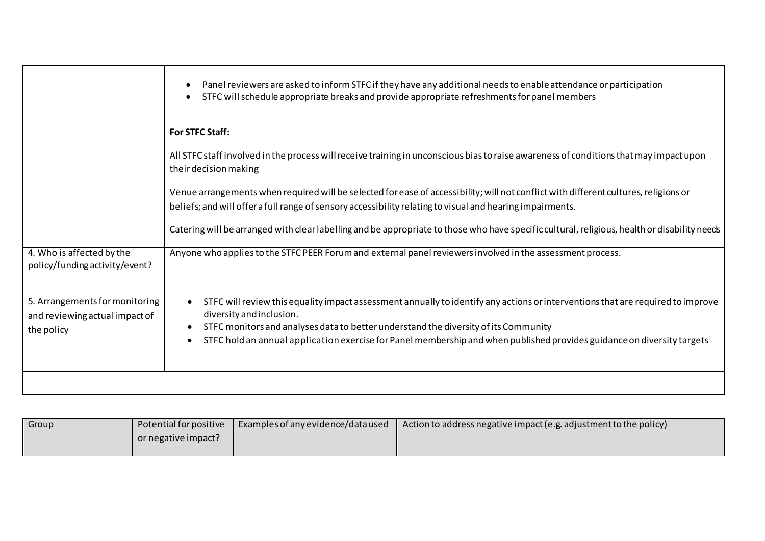|                                                                                | Panel reviewers are asked to inform STFC if they have any additional needs to enable attendance or participation<br>STFC will schedule appropriate breaks and provide appropriate refreshments for panel members                                                                                                                                                              |  |  |  |
|--------------------------------------------------------------------------------|-------------------------------------------------------------------------------------------------------------------------------------------------------------------------------------------------------------------------------------------------------------------------------------------------------------------------------------------------------------------------------|--|--|--|
|                                                                                | For STFC Staff:                                                                                                                                                                                                                                                                                                                                                               |  |  |  |
|                                                                                | All STFC staff involved in the process will receive training in unconscious bias to raise awareness of conditions that may impact upon<br>their decision making                                                                                                                                                                                                               |  |  |  |
|                                                                                | Venue arrangements when required will be selected for ease of accessibility; will not conflict with different cultures, religions or<br>beliefs; and will offer a full range of sensory accessibility relating to visual and hearing impairments.                                                                                                                             |  |  |  |
|                                                                                | Catering will be arranged with clear labelling and be appropriate to those who have specific cultural, religious, health or disability needs                                                                                                                                                                                                                                  |  |  |  |
| 4. Who is affected by the<br>policy/funding activity/event?                    | Anyone who applies to the STFC PEER Forum and external panel reviewers involved in the assessment process.                                                                                                                                                                                                                                                                    |  |  |  |
|                                                                                |                                                                                                                                                                                                                                                                                                                                                                               |  |  |  |
| 5. Arrangements for monitoring<br>and reviewing actual impact of<br>the policy | STFC will review this equality impact assessment annually to identify any actions or interventions that are required to improve<br>diversity and inclusion.<br>STFC monitors and analyses data to better understand the diversity of its Community<br>STFC hold an annual application exercise for Panel membership and when published provides guidance on diversity targets |  |  |  |
|                                                                                |                                                                                                                                                                                                                                                                                                                                                                               |  |  |  |

| Group | Potential for positive | Examples of any evidence/data used | Action to address negative impact (e.g. adjustment to the policy) |
|-------|------------------------|------------------------------------|-------------------------------------------------------------------|
|       | or negative impact?    |                                    |                                                                   |
|       |                        |                                    |                                                                   |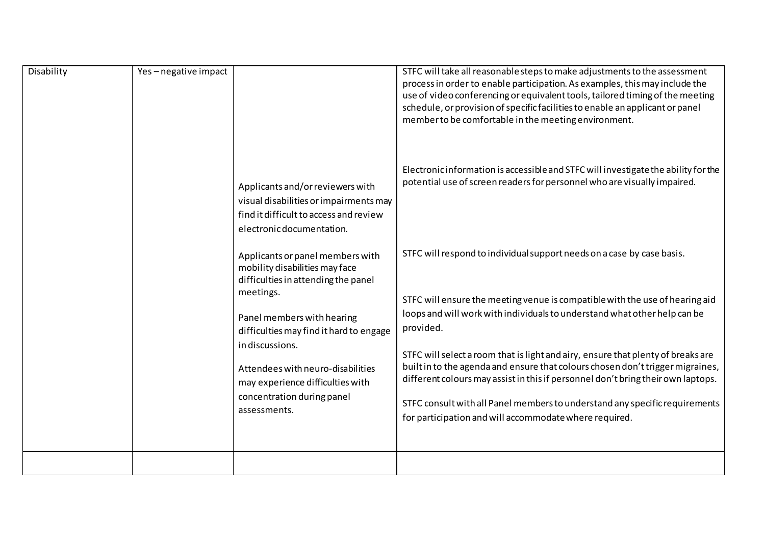| Disability | Yes-negative impact                                                                                                                                                                                             | Applicants and/or reviewers with<br>visual disabilities or impairments may<br>find it difficult to access and review<br>electronic documentation.<br>Applicants or panel members with<br>mobility disabilities may face<br>difficulties in attending the panel<br>meetings. | STFC will take all reasonable steps to make adjustments to the assessment<br>process in order to enable participation. As examples, this may include the<br>use of video conferencing or equivalent tools, tailored timing of the meeting<br>schedule, or provision of specific facilities to enable an applicant or panel<br>member to be comfortable in the meeting environment.<br>Electronic information is accessible and STFC will investigate the ability for the<br>potential use of screen readers for personnel who are visually impaired.<br>STFC will respond to individual support needs on a case by case basis.<br>STFC will ensure the meeting venue is compatible with the use of hearing aid |
|------------|-----------------------------------------------------------------------------------------------------------------------------------------------------------------------------------------------------------------|-----------------------------------------------------------------------------------------------------------------------------------------------------------------------------------------------------------------------------------------------------------------------------|----------------------------------------------------------------------------------------------------------------------------------------------------------------------------------------------------------------------------------------------------------------------------------------------------------------------------------------------------------------------------------------------------------------------------------------------------------------------------------------------------------------------------------------------------------------------------------------------------------------------------------------------------------------------------------------------------------------|
|            | Panel members with hearing<br>difficulties may find it hard to engage<br>in discussions.<br>Attendees with neuro-disabilities<br>may experience difficulties with<br>concentration during panel<br>assessments. | loops and will work with individuals to understand what other help can be<br>provided.<br>STFC will select a room that is light and airy, ensure that plenty of breaks are<br>built in to the agenda and ensure that colours chosen don't trigger migraines,                |                                                                                                                                                                                                                                                                                                                                                                                                                                                                                                                                                                                                                                                                                                                |
|            |                                                                                                                                                                                                                 | different colours may assist in this if personnel don't bring their own laptops.<br>STFC consult with all Panel members to understand any specific requirements<br>for participation and will accommodate where required.                                                   |                                                                                                                                                                                                                                                                                                                                                                                                                                                                                                                                                                                                                                                                                                                |
|            |                                                                                                                                                                                                                 |                                                                                                                                                                                                                                                                             |                                                                                                                                                                                                                                                                                                                                                                                                                                                                                                                                                                                                                                                                                                                |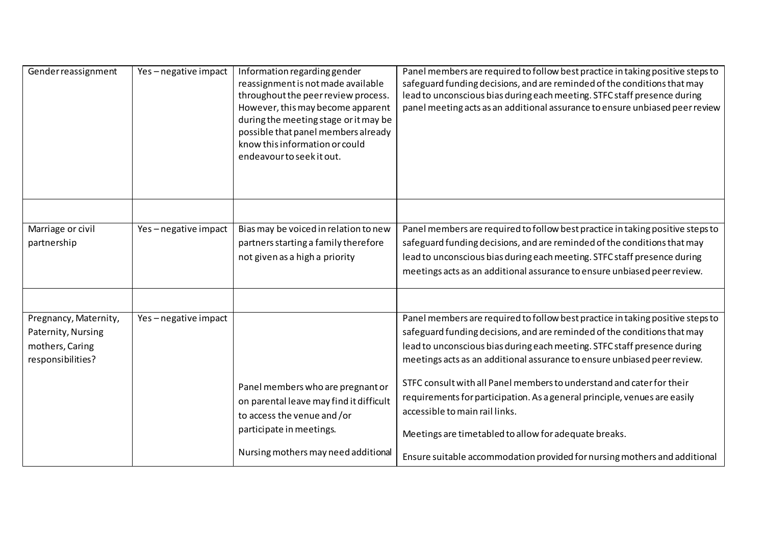| Gender reassignment                                                                 | Yes-negative impact | Information regarding gender<br>reassignment is not made available<br>throughout the peer review process.<br>However, this may become apparent<br>during the meeting stage or it may be<br>possible that panel members already<br>know this information or could<br>endeavour to seek it out. | Panel members are required to follow best practice in taking positive steps to<br>safeguard funding decisions, and are reminded of the conditions that may<br>lead to unconscious bias during each meeting. STFC staff presence during<br>panel meeting acts as an additional assurance to ensure unbiased peer review                                                                                                                                                                                                                                                                                                                           |
|-------------------------------------------------------------------------------------|---------------------|-----------------------------------------------------------------------------------------------------------------------------------------------------------------------------------------------------------------------------------------------------------------------------------------------|--------------------------------------------------------------------------------------------------------------------------------------------------------------------------------------------------------------------------------------------------------------------------------------------------------------------------------------------------------------------------------------------------------------------------------------------------------------------------------------------------------------------------------------------------------------------------------------------------------------------------------------------------|
| Marriage or civil<br>partnership                                                    | Yes-negative impact | Bias may be voiced in relation to new<br>partners starting a family therefore<br>not given as a high a priority                                                                                                                                                                               | Panel members are required to follow best practice in taking positive steps to<br>safeguard funding decisions, and are reminded of the conditions that may<br>lead to unconscious bias during each meeting. STFC staff presence during<br>meetings acts as an additional assurance to ensure unbiased peer review.                                                                                                                                                                                                                                                                                                                               |
| Pregnancy, Maternity,<br>Paternity, Nursing<br>mothers, Caring<br>responsibilities? | Yes-negative impact | Panel members who are pregnant or<br>on parental leave may find it difficult<br>to access the venue and/or<br>participate in meetings.<br>Nursing mothers may need additional                                                                                                                 | Panel members are required to follow best practice in taking positive steps to<br>safeguard funding decisions, and are reminded of the conditions that may<br>lead to unconscious bias during each meeting. STFC staff presence during<br>meetings acts as an additional assurance to ensure unbiased peer review.<br>STFC consult with all Panel members to understand and cater for their<br>requirements for participation. As a general principle, venues are easily<br>accessible to main rail links.<br>Meetings are timetabled to allow for adequate breaks.<br>Ensure suitable accommodation provided for nursing mothers and additional |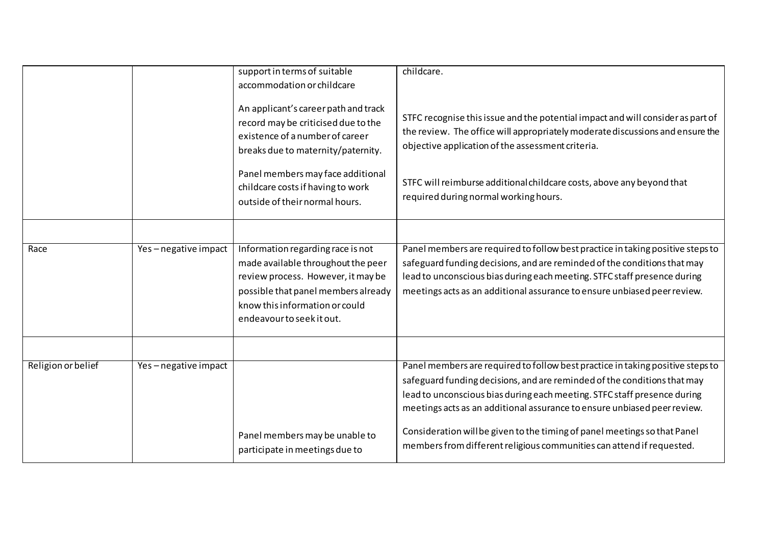|                    |                     | support in terms of suitable<br>accommodation or childcare<br>An applicant's career path and track<br>record may be criticised due to the<br>existence of a number of career<br>breaks due to maternity/paternity.<br>Panel members may face additional<br>childcare costs if having to work<br>outside of their normal hours. | childcare.<br>STFC recognise this issue and the potential impact and will consider as part of<br>the review. The office will appropriately moderate discussions and ensure the<br>objective application of the assessment criteria.<br>STFC will reimburse additional childcare costs, above any beyond that<br>required during normal working hours.                                                                                                                    |
|--------------------|---------------------|--------------------------------------------------------------------------------------------------------------------------------------------------------------------------------------------------------------------------------------------------------------------------------------------------------------------------------|--------------------------------------------------------------------------------------------------------------------------------------------------------------------------------------------------------------------------------------------------------------------------------------------------------------------------------------------------------------------------------------------------------------------------------------------------------------------------|
| Race               | Yes-negative impact | Information regarding race is not<br>made available throughout the peer<br>review process. However, it may be<br>possible that panel members already<br>know this information or could<br>endeavour to seek it out.                                                                                                            | Panel members are required to follow best practice in taking positive steps to<br>safeguard funding decisions, and are reminded of the conditions that may<br>lead to unconscious bias during each meeting. STFC staff presence during<br>meetings acts as an additional assurance to ensure unbiased peer review.                                                                                                                                                       |
| Religion or belief | Yes-negative impact | Panel members may be unable to<br>participate in meetings due to                                                                                                                                                                                                                                                               | Panel members are required to follow best practice in taking positive steps to<br>safeguard funding decisions, and are reminded of the conditions that may<br>lead to unconscious bias during each meeting. STFC staff presence during<br>meetings acts as an additional assurance to ensure unbiased peer review.<br>Consideration will be given to the timing of panel meetings so that Panel<br>members from different religious communities can attend if requested. |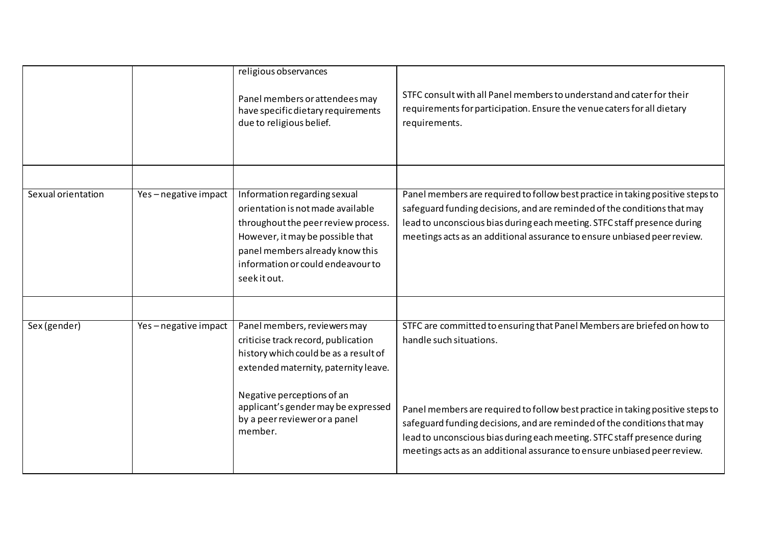|                    |                     | religious observances<br>Panel members or attendees may<br>have specific dietary requirements<br>due to religious belief.                                                                                                                                             | STFC consult with all Panel members to understand and cater for their<br>requirements for participation. Ensure the venue caters for all dietary<br>requirements.                                                                                                                                                                                                                                                        |
|--------------------|---------------------|-----------------------------------------------------------------------------------------------------------------------------------------------------------------------------------------------------------------------------------------------------------------------|--------------------------------------------------------------------------------------------------------------------------------------------------------------------------------------------------------------------------------------------------------------------------------------------------------------------------------------------------------------------------------------------------------------------------|
| Sexual orientation | Yes-negative impact | Information regarding sexual<br>orientation is not made available<br>throughout the peer review process.<br>However, it may be possible that<br>panel members already know this<br>information or could endeavour to<br>seekit out.                                   | Panel members are required to follow best practice in taking positive steps to<br>safeguard funding decisions, and are reminded of the conditions that may<br>lead to unconscious bias during each meeting. STFC staff presence during<br>meetings acts as an additional assurance to ensure unbiased peer review.                                                                                                       |
| Sex (gender)       | Yes-negative impact | Panel members, reviewers may<br>criticise track record, publication<br>history which could be as a result of<br>extended maternity, paternity leave.<br>Negative perceptions of an<br>applicant's gender may be expressed<br>by a peer reviewer or a panel<br>member. | STFC are committed to ensuring that Panel Members are briefed on how to<br>handle such situations.<br>Panel members are required to follow best practice in taking positive steps to<br>safeguard funding decisions, and are reminded of the conditions that may<br>lead to unconscious bias during each meeting. STFC staff presence during<br>meetings acts as an additional assurance to ensure unbiased peer review. |